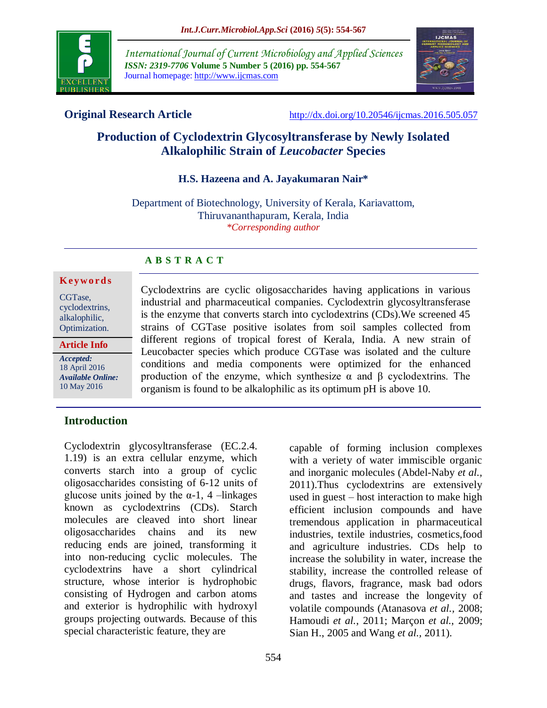

*International Journal of Current Microbiology and Applied Sciences ISSN: 2319-7706* **Volume 5 Number 5 (2016) pp. 554-567** Journal homepage: http://www.ijcmas.com



**Original Research Article** <http://dx.doi.org/10.20546/ijcmas.2016.505.057>

# **Production of Cyclodextrin Glycosyltransferase by Newly Isolated Alkalophilic Strain of** *Leucobacter* **Species**

#### **H.S. Hazeena and A. Jayakumaran Nair\***

Department of Biotechnology, University of Kerala, Kariavattom, Thiruvananthapuram, Kerala, India *\*Corresponding author*

#### **A B S T R A C T**

#### **K ey w o rd s**

CGTase, cyclodextrins, alkalophilic, Optimization.

**Article Info**

*Accepted:*  18 April 2016 *Available Online:* 10 May 2016

Cyclodextrins are cyclic oligosaccharides having applications in various industrial and pharmaceutical companies. Cyclodextrin glycosyltransferase is the enzyme that converts starch into cyclodextrins (CDs).We screened 45 strains of CGTase positive isolates from soil samples collected from different regions of tropical forest of Kerala, India. A new strain of Leucobacter species which produce CGTase was isolated and the culture conditions and media components were optimized for the enhanced production of the enzyme, which synthesize α and β cyclodextrins. The organism is found to be alkalophilic as its optimum pH is above 10.

#### **Introduction**

Cyclodextrin glycosyltransferase (EC.2.4. 1.19) is an extra cellular enzyme, which converts starch into a group of cyclic oligosaccharides consisting of 6-12 units of glucose units joined by the  $\alpha$ -1, 4 –linkages known as cyclodextrins (CDs). Starch molecules are cleaved into short linear oligosaccharides chains and its new reducing ends are joined, transforming it into non-reducing cyclic molecules. The cyclodextrins have a short cylindrical structure, whose interior is hydrophobic consisting of Hydrogen and carbon atoms and exterior is hydrophilic with hydroxyl groups projecting outwards. Because of this special characteristic feature, they are

capable of forming inclusion complexes with a veriety of water immiscible organic and inorganic molecules (Abdel-Naby *et al.,* 2011).Thus cyclodextrins are extensively used in guest – host interaction to make high efficient inclusion compounds and have tremendous application in pharmaceutical industries, textile industries, cosmetics,food and agriculture industries. CDs help to increase the solubility in water, increase the stability, increase the controlled release of drugs, flavors, fragrance, mask bad odors and tastes and increase the longevity of volatile compounds (Atanasova *et al.,* 2008; Hamoudi *et al.*, 2011; Marçon *et al.*, 2009; Sian H., 2005 and Wang *et al.,* 2011).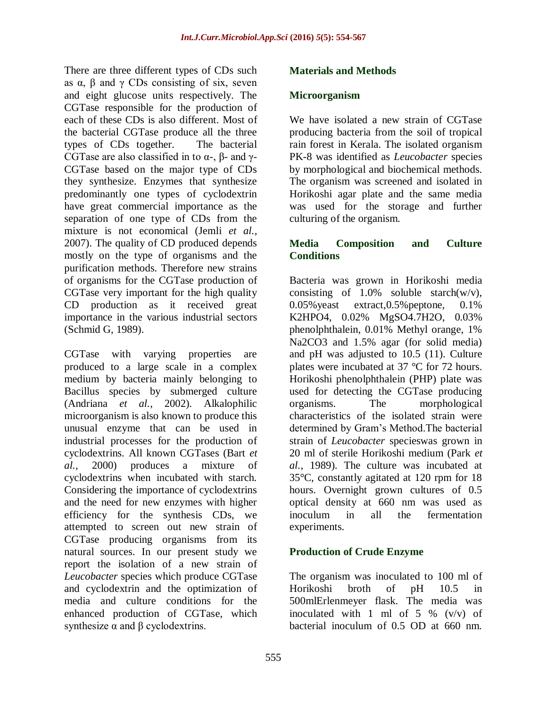There are three different types of CDs such as  $\alpha$ ,  $\beta$  and  $\gamma$  CDs consisting of six, seven and eight glucose units respectively. The CGTase responsible for the production of each of these CDs is also different. Most of the bacterial CGTase produce all the three types of CDs together. The bacterial CGTase are also classified in to  $\alpha$ -,  $\beta$ - and  $\gamma$ -CGTase based on the major type of CDs they synthesize. Enzymes that synthesize predominantly one types of cyclodextrin have great commercial importance as the separation of one type of CDs from the mixture is not economical (Jemli *et al.,* 2007). The quality of CD produced depends mostly on the type of organisms and the purification methods. Therefore new strains of organisms for the CGTase production of CGTase very important for the high quality CD production as it received great importance in the various industrial sectors (Schmid G, 1989).

CGTase with varying properties are produced to a large scale in a complex medium by bacteria mainly belonging to Bacillus species by submerged culture (Andriana *et al.,* 2002). Alkalophilic microorganism is also known to produce this unusual enzyme that can be used in industrial processes for the production of cyclodextrins. All known CGTases (Bart *et al.,* 2000) produces a mixture of cyclodextrins when incubated with starch. Considering the importance of cyclodextrins and the need for new enzymes with higher efficiency for the synthesis CDs, we attempted to screen out new strain of CGTase producing organisms from its natural sources. In our present study we report the isolation of a new strain of *Leucobacter* species which produce CGTase and cyclodextrin and the optimization of media and culture conditions for the enhanced production of CGTase, which synthesize  $\alpha$  and  $\beta$  cyclodextrins.

#### **Materials and Methods**

#### **Microorganism**

We have isolated a new strain of CGTase producing bacteria from the soil of tropical rain forest in Kerala. The isolated organism PK-8 was identified as *Leucobacter* species by morphological and biochemical methods. The organism was screened and isolated in Horikoshi agar plate and the same media was used for the storage and further culturing of the organism.

#### **Media Composition and Culture Conditions**

Bacteria was grown in Horikoshi media consisting of  $1.0\%$  soluble starch(w/v), 0.05%yeast extract,0.5%peptone, 0.1% K2HPO4, 0.02% MgSO4.7H2O, 0.03% phenolphthalein, 0.01% Methyl orange, 1% Na2CO3 and 1.5% agar (for solid media) and pH was adjusted to 10.5 (11). Culture plates were incubated at 37 °C for 72 hours. Horikoshi phenolphthalein (PHP) plate was used for detecting the CGTase producing organisms. The morphological characteristics of the isolated strain were determined by Gram's Method.The bacterial strain of *Leucobacter* specieswas grown in 20 ml of sterile Horikoshi medium (Park *et al.,* 1989). The culture was incubated at 35°C, constantly agitated at 120 rpm for 18 hours. Overnight grown cultures of 0.5 optical density at 660 nm was used as inoculum in all the fermentation experiments.

#### **Production of Crude Enzyme**

The organism was inoculated to 100 ml of Horikoshi broth of pH 10.5 in 500mlErlenmeyer flask. The media was inoculated with 1 ml of 5  $\%$  (v/v) of bacterial inoculum of 0.5 OD at 660 nm.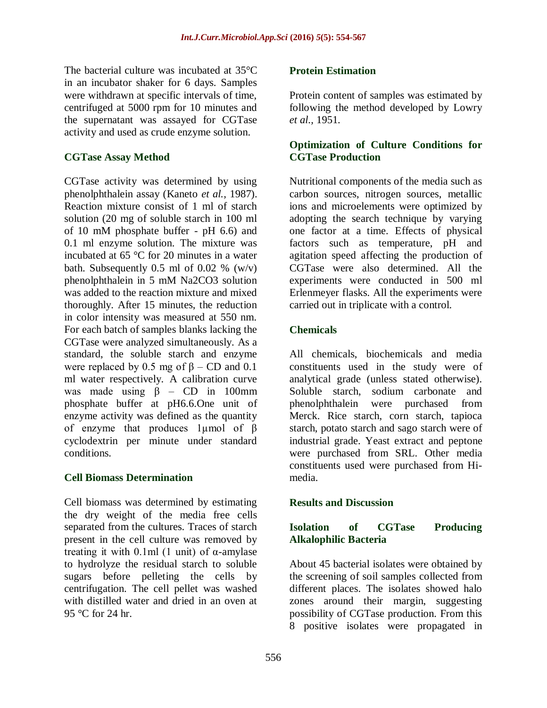The bacterial culture was incubated at 35°C in an incubator shaker for 6 days. Samples were withdrawn at specific intervals of time, centrifuged at 5000 rpm for 10 minutes and the supernatant was assayed for CGTase activity and used as crude enzyme solution.

#### **CGTase Assay Method**

CGTase activity was determined by using phenolphthalein assay (Kaneto *et al.,* 1987). Reaction mixture consist of 1 ml of starch solution (20 mg of soluble starch in 100 ml of 10 mM phosphate buffer - pH 6.6) and 0.1 ml enzyme solution. The mixture was incubated at 65 °C for 20 minutes in a water bath. Subsequently  $0.5$  ml of  $0.02$  % (w/v) phenolphthalein in 5 mM Na2CO3 solution was added to the reaction mixture and mixed thoroughly. After 15 minutes, the reduction in color intensity was measured at 550 nm. For each batch of samples blanks lacking the CGTase were analyzed simultaneously. As a standard, the soluble starch and enzyme were replaced by 0.5 mg of  $\beta$  – CD and 0.1 ml water respectively. A calibration curve was made using  $\beta$  – CD in 100mm phosphate buffer at pH6.6.One unit of enzyme activity was defined as the quantity of enzyme that produces 1µmol of β cyclodextrin per minute under standard conditions.

#### **Cell Biomass Determination**

Cell biomass was determined by estimating the dry weight of the media free cells separated from the cultures. Traces of starch present in the cell culture was removed by treating it with 0.1ml (1 unit) of  $\alpha$ -amylase to hydrolyze the residual starch to soluble sugars before pelleting the cells by centrifugation. The cell pellet was washed with distilled water and dried in an oven at 95 °C for 24 hr.

#### **Protein Estimation**

Protein content of samples was estimated by following the method developed by Lowry *et al.,* 1951.

#### **Optimization of Culture Conditions for CGTase Production**

Nutritional components of the media such as carbon sources, nitrogen sources, metallic ions and microelements were optimized by adopting the search technique by varying one factor at a time. Effects of physical factors such as temperature, pH and agitation speed affecting the production of CGTase were also determined. All the experiments were conducted in 500 ml Erlenmeyer flasks. All the experiments were carried out in triplicate with a control.

## **Chemicals**

All chemicals, biochemicals and media constituents used in the study were of analytical grade (unless stated otherwise). Soluble starch, sodium carbonate and phenolphthalein were purchased from Merck. Rice starch, corn starch, tapioca starch, potato starch and sago starch were of industrial grade. Yeast extract and peptone were purchased from SRL. Other media constituents used were purchased from Himedia.

## **Results and Discussion**

## **Isolation of CGTase Producing Alkalophilic Bacteria**

About 45 bacterial isolates were obtained by the screening of soil samples collected from different places. The isolates showed halo zones around their margin, suggesting possibility of CGTase production. From this 8 positive isolates were propagated in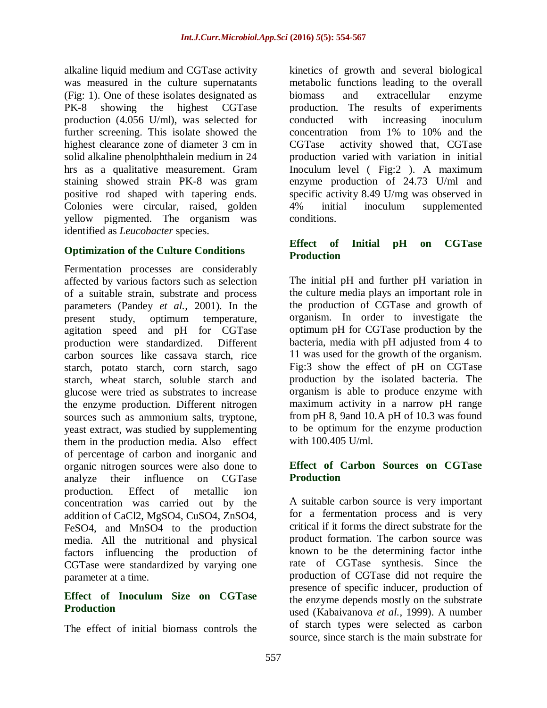alkaline liquid medium and CGTase activity was measured in the culture supernatants (Fig: 1). One of these isolates designated as PK-8 showing the highest CGTase production (4.056 U/ml), was selected for further screening. This isolate showed the highest clearance zone of diameter 3 cm in solid alkaline phenolphthalein medium in 24 hrs as a qualitative measurement. Gram staining showed strain PK-8 was gram positive rod shaped with tapering ends. Colonies were circular, raised, golden yellow pigmented. The organism was identified as *Leucobacter* species.

## **Optimization of the Culture Conditions**

Fermentation processes are considerably affected by various factors such as selection of a suitable strain, substrate and process parameters (Pandey *et al.,* 2001). In the present study, optimum temperature, agitation speed and pH for CGTase production were standardized. Different carbon sources like cassava starch, rice starch, potato starch, corn starch, sago starch, wheat starch, soluble starch and glucose were tried as substrates to increase the enzyme production. Different nitrogen sources such as ammonium salts, tryptone, yeast extract, was studied by supplementing them in the production media. Also effect of percentage of carbon and inorganic and organic nitrogen sources were also done to analyze their influence on CGTase production. Effect of metallic ion concentration was carried out by the addition of CaCl2, MgSO4, CuSO4, ZnSO4, FeSO4, and MnSO4 to the production media. All the nutritional and physical factors influencing the production of CGTase were standardized by varying one parameter at a time.

## **Effect of Inoculum Size on CGTase Production**

The effect of initial biomass controls the

kinetics of growth and several biological metabolic functions leading to the overall biomass and extracellular enzyme production. The results of experiments conducted with increasing inoculum concentration from 1% to 10% and the CGTase activity showed that, CGTase production varied with variation in initial Inoculum level ( Fig:2 ). A maximum enzyme production of 24.73 U/ml and specific activity 8.49 U/mg was observed in 4% initial inoculum supplemented conditions.

### **Effect of Initial pH on CGTase Production**

The initial pH and further pH variation in the culture media plays an important role in the production of CGTase and growth of organism. In order to investigate the optimum pH for CGTase production by the bacteria, media with pH adjusted from 4 to 11 was used for the growth of the organism. Fig:3 show the effect of pH on CGTase production by the isolated bacteria. The organism is able to produce enzyme with maximum activity in a narrow pH range from pH 8, 9and 10.A pH of 10.3 was found to be optimum for the enzyme production with 100.405 U/ml.

#### **Effect of Carbon Sources on CGTase Production**

A suitable carbon source is very important for a fermentation process and is very critical if it forms the direct substrate for the product formation. The carbon source was known to be the determining factor inthe rate of CGTase synthesis. Since the production of CGTase did not require the presence of specific inducer, production of the enzyme depends mostly on the substrate used (Kabaivanova *et al.,* 1999). A number of starch types were selected as carbon source, since starch is the main substrate for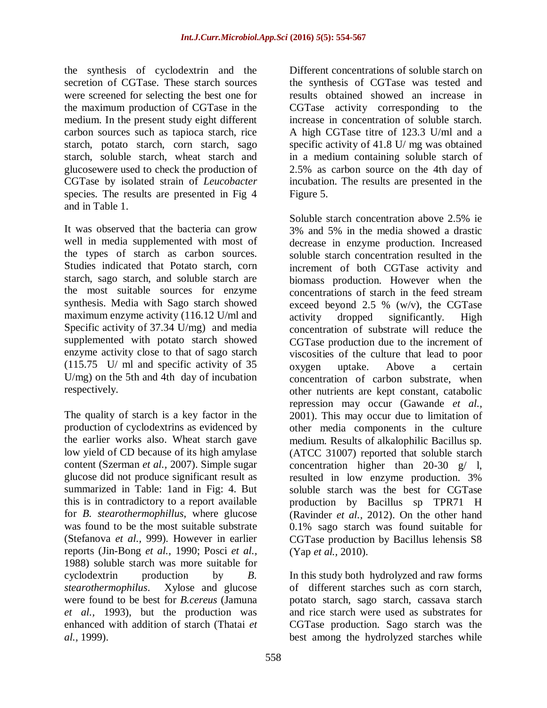the synthesis of cyclodextrin and the secretion of CGTase. These starch sources were screened for selecting the best one for the maximum production of CGTase in the medium. In the present study eight different carbon sources such as tapioca starch, rice starch, potato starch, corn starch, sago starch, soluble starch, wheat starch and glucosewere used to check the production of CGTase by isolated strain of *Leucobacter* species. The results are presented in Fig 4 and in Table 1.

It was observed that the bacteria can grow well in media supplemented with most of the types of starch as carbon sources. Studies indicated that Potato starch, corn starch, sago starch, and soluble starch are the most suitable sources for enzyme synthesis. Media with Sago starch showed maximum enzyme activity (116.12 U/ml and Specific activity of 37.34 U/mg) and media supplemented with potato starch showed enzyme activity close to that of sago starch (115.75 U/ ml and specific activity of 35 U/mg) on the 5th and 4th day of incubation respectively.

The quality of starch is a key factor in the production of cyclodextrins as evidenced by the earlier works also. Wheat starch gave low yield of CD because of its high amylase content (Szerman *et al.,* 2007). Simple sugar glucose did not produce significant result as summarized in Table: 1and in Fig: 4. But this is in contradictory to a report available for *B. stearothermophillus*, where glucose was found to be the most suitable substrate (Stefanova *et al.,* 999). However in earlier reports (Jin-Bong *et al.,* 1990; Posci *et al.,* 1988) soluble starch was more suitable for cyclodextrin production by *B. stearothermophilus*. Xylose and glucose were found to be best for *B.cereus* (Jamuna *et al.,* 1993), but the production was enhanced with addition of starch (Thatai *et al.,* 1999).

Different concentrations of soluble starch on the synthesis of CGTase was tested and results obtained showed an increase in CGTase activity corresponding to the increase in concentration of soluble starch. A high CGTase titre of 123.3 U/ml and a specific activity of 41.8 U/ mg was obtained in a medium containing soluble starch of 2.5% as carbon source on the 4th day of incubation. The results are presented in the Figure 5.

Soluble starch concentration above 2.5% ie 3% and 5% in the media showed a drastic decrease in enzyme production. Increased soluble starch concentration resulted in the increment of both CGTase activity and biomass production. However when the concentrations of starch in the feed stream exceed beyond 2.5 %  $(w/v)$ , the CGTase activity dropped significantly. High concentration of substrate will reduce the CGTase production due to the increment of viscosities of the culture that lead to poor oxygen uptake. Above a certain concentration of carbon substrate, when other nutrients are kept constant, catabolic repression may occur (Gawande *et al.,* 2001). This may occur due to limitation of other media components in the culture medium. Results of alkalophilic Bacillus sp. (ATCC 31007) reported that soluble starch concentration higher than  $20-30$  g/ l, resulted in low enzyme production. 3% soluble starch was the best for CGTase production by Bacillus sp TPR71 H (Ravinder *et al.,* 2012). On the other hand 0.1% sago starch was found suitable for CGTase production by Bacillus lehensis S8 (Yap *et al.,* 2010).

In this study both hydrolyzed and raw forms of different starches such as corn starch, potato starch, sago starch, cassava starch and rice starch were used as substrates for CGTase production. Sago starch was the best among the hydrolyzed starches while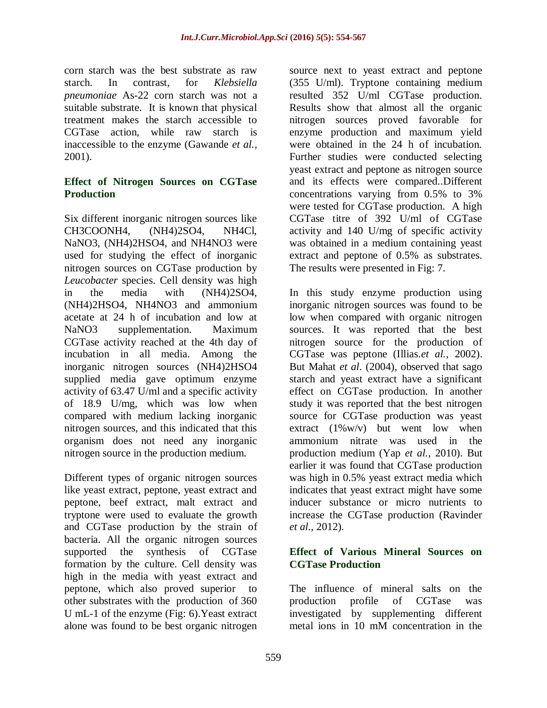corn starch was the best substrate as raw starch. In contrast, for *Klebsiella pneumoniae* As-22 corn starch was not a suitable substrate. It is known that physical treatment makes the starch accessible to CGTase action, while raw starch is inaccessible to the enzyme (Gawande *et al.,* 2001).

#### **Effect of Nitrogen Sources on CGTase Production**

Six different inorganic nitrogen sources like CH3COONH4, (NH4)2SO4, NH4Cl, NaNO3, (NH4)2HSO4, and NH4NO3 were used for studying the effect of inorganic nitrogen sources on CGTase production by *Leucobacter* species. Cell density was high in the media with (NH4)2SO4, (NH4)2HSO4, NH4NO3 and ammonium acetate at 24 h of incubation and low at NaNO3 supplementation. Maximum CGTase activity reached at the 4th day of incubation in all media. Among the inorganic nitrogen sources (NH4)2HSO4 supplied media gave optimum enzyme activity of 63.47 U/ml and a specific activity of 18.9 U/mg, which was low when compared with medium lacking inorganic nitrogen sources, and this indicated that this organism does not need any inorganic nitrogen source in the production medium.

Different types of organic nitrogen sources like yeast extract, peptone, yeast extract and peptone, beef extract, malt extract and tryptone were used to evaluate the growth and CGTase production by the strain of bacteria. All the organic nitrogen sources supported the synthesis of CGTase formation by the culture. Cell density was high in the media with yeast extract and peptone, which also proved superior to other substrates with the production of 360 U mL-1 of the enzyme (Fig: 6).Yeast extract alone was found to be best organic nitrogen

source next to yeast extract and peptone (355 U/ml). Tryptone containing medium resulted 352 U/ml CGTase production. Results show that almost all the organic nitrogen sources proved favorable for enzyme production and maximum yield were obtained in the 24 h of incubation. Further studies were conducted selecting yeast extract and peptone as nitrogen source and its effects were compared..Different concentrations varying from 0.5% to 3% were tested for CGTase production. A high CGTase titre of 392 U/ml of CGTase activity and 140 U/mg of specific activity was obtained in a medium containing yeast extract and peptone of 0.5% as substrates. The results were presented in Fig: 7.

In this study enzyme production using inorganic nitrogen sources was found to be low when compared with organic nitrogen sources. It was reported that the best nitrogen source for the production of CGTase was peptone (Illias.*et al.,* 2002). But Mahat *et al*. (2004), observed that sago starch and yeast extract have a significant effect on CGTase production. In another study it was reported that the best nitrogen source for CGTase production was yeast extract  $(1\%w/v)$  but went low when ammonium nitrate was used in the production medium (Yap *et al.,* 2010). But earlier it was found that CGTase production was high in 0.5% yeast extract media which indicates that yeast extract might have some inducer substance or micro nutrients to increase the CGTase production (Ravinder *et al.,* 2012).

#### **Effect of Various Mineral Sources on CGTase Production**

The influence of mineral salts on the production profile of CGTase was investigated by supplementing different metal ions in 10 mM concentration in the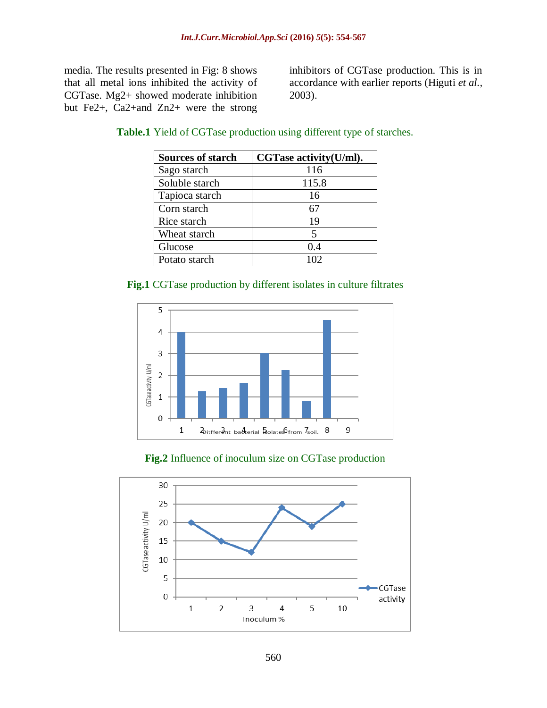media. The results presented in Fig: 8 shows that all metal ions inhibited the activity of CGTase. Mg2+ showed moderate inhibition but Fe2+, Ca2+and Zn2+ were the strong

inhibitors of CGTase production. This is in accordance with earlier reports (Higuti *et al.,* 2003).

| <b>Sources of starch</b> | CGTase activity(U/ml). |
|--------------------------|------------------------|
| Sago starch              | 116                    |
| Soluble starch           | 115.8                  |
| Tapioca starch           | 16                     |
| Corn starch              | 67                     |
| Rice starch              | 19                     |
| Wheat starch             | 5                      |
| Glucose                  | 0.4                    |
| Potato starch            | 102.                   |

#### **Table.1** Yield of CGTase production using different type of starches.

#### **Fig.1** CGTase production by different isolates in culture filtrates





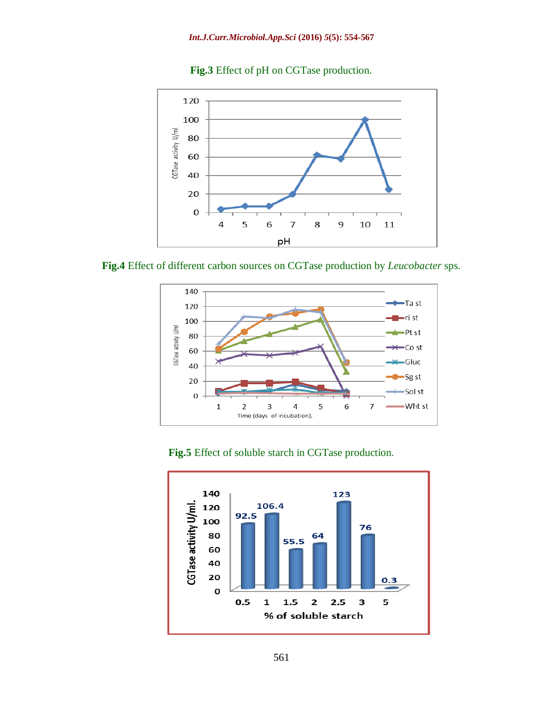



**Fig.4** Effect of different carbon sources on CGTase production by *Leucobacter* sps.



**Fig.5** Effect of soluble starch in CGTase production.

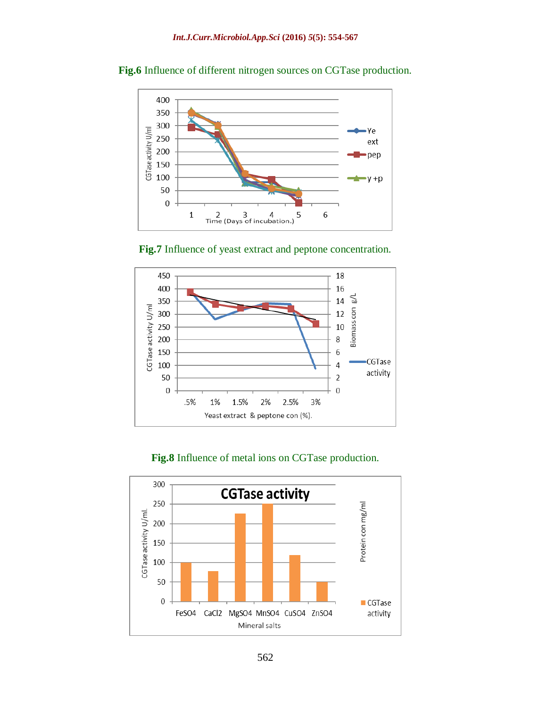

**Fig.6** Influence of different nitrogen sources on CGTase production.





#### **Fig.8** Influence of metal ions on CGTase production.

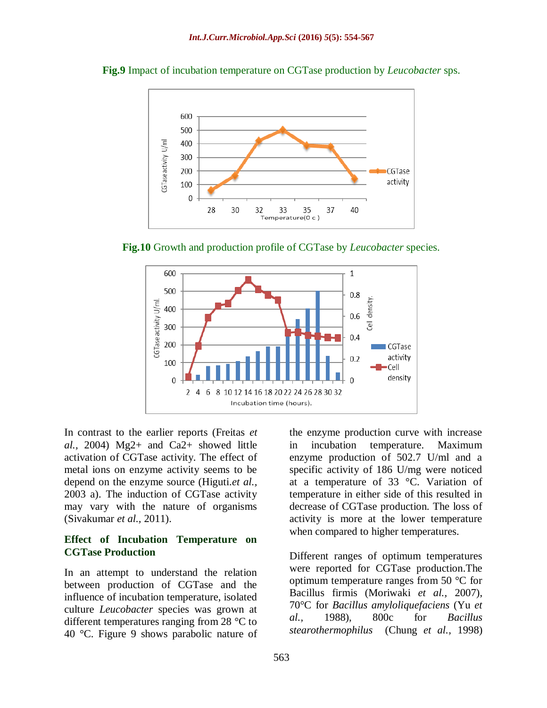

**Fig.9** Impact of incubation temperature on CGTase production by *Leucobacter* sps.

**Fig.10** Growth and production profile of CGTase by *Leucobacter* species.



In contrast to the earlier reports (Freitas *et al.,* 2004) Mg2+ and Ca2+ showed little activation of CGTase activity. The effect of metal ions on enzyme activity seems to be depend on the enzyme source (Higuti.*et al.,* 2003 a). The induction of CGTase activity may vary with the nature of organisms (Sivakumar *et al.,* 2011).

#### **Effect of Incubation Temperature on CGTase Production**

In an attempt to understand the relation between production of CGTase and the influence of incubation temperature, isolated culture *Leucobacter* species was grown at different temperatures ranging from 28 °C to 40 °C. Figure 9 shows parabolic nature of the enzyme production curve with increase in incubation temperature. Maximum enzyme production of 502.7 U/ml and a specific activity of 186 U/mg were noticed at a temperature of 33 °C. Variation of temperature in either side of this resulted in decrease of CGTase production. The loss of activity is more at the lower temperature when compared to higher temperatures.

Different ranges of optimum temperatures were reported for CGTase production.The optimum temperature ranges from 50 °C for Bacillus firmis (Moriwaki *et al.,* 2007), 70°C for *Bacillus amyloliquefaciens* (Yu *et al.,* 1988), 800c for *Bacillus stearothermophilus* (Chung *et al.,* 1998)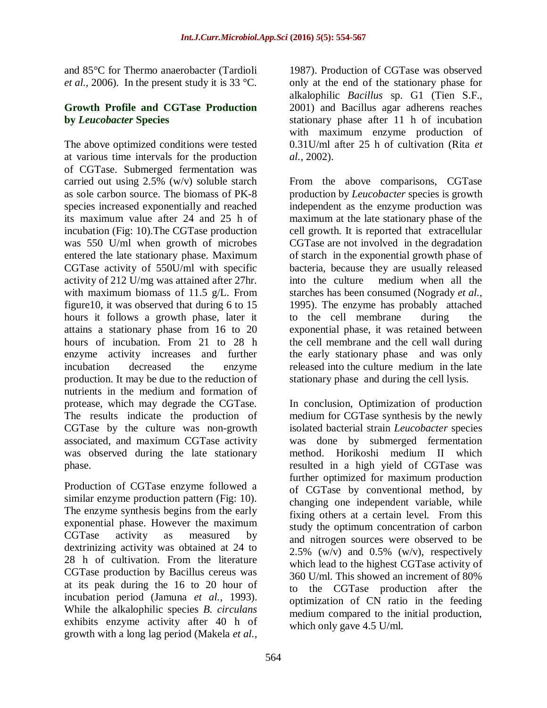and 85°C for Thermo anaerobacter (Tardioli *et al.,* 2006). In the present study it is 33 °C.

#### **Growth Profile and CGTase Production by** *Leucobacter* **Species**

The above optimized conditions were tested at various time intervals for the production of CGTase. Submerged fermentation was carried out using 2.5% (w/v) soluble starch as sole carbon source. The biomass of PK-8 species increased exponentially and reached its maximum value after 24 and 25 h of incubation (Fig: 10).The CGTase production was 550 U/ml when growth of microbes entered the late stationary phase. Maximum CGTase activity of 550U/ml with specific activity of 212 U/mg was attained after 27hr. with maximum biomass of 11.5 g/L. From figure10, it was observed that during 6 to 15 hours it follows a growth phase, later it attains a stationary phase from 16 to 20 hours of incubation. From 21 to 28 h enzyme activity increases and further incubation decreased the enzyme production. It may be due to the reduction of nutrients in the medium and formation of protease, which may degrade the CGTase. The results indicate the production of CGTase by the culture was non-growth associated, and maximum CGTase activity was observed during the late stationary phase.

Production of CGTase enzyme followed a similar enzyme production pattern (Fig: 10). The enzyme synthesis begins from the early exponential phase. However the maximum CGTase activity as measured by dextrinizing activity was obtained at 24 to 28 h of cultivation. From the literature CGTase production by Bacillus cereus was at its peak during the 16 to 20 hour of incubation period (Jamuna *et al.,* 1993). While the alkalophilic species *B. circulans* exhibits enzyme activity after 40 h of growth with a long lag period (Makela *et al.,*

1987). Production of CGTase was observed only at the end of the stationary phase for alkalophilic *Bacillus* sp. G1 (Tien S.F., 2001) and Bacillus agar adherens reaches stationary phase after 11 h of incubation with maximum enzyme production of 0.31U/ml after 25 h of cultivation (Rita *et al.,* 2002).

From the above comparisons, CGTase production by *Leucobacter* species is growth independent as the enzyme production was maximum at the late stationary phase of the cell growth. It is reported that extracellular CGTase are not involved in the degradation of starch in the exponential growth phase of bacteria, because they are usually released into the culture medium when all the starches has been consumed (Nogrady *et al.,* 1995). The enzyme has probably attached to the cell membrane during the exponential phase, it was retained between the cell membrane and the cell wall during the early stationary phase and was only released into the culture medium in the late stationary phase and during the cell lysis.

In conclusion, Optimization of production medium for CGTase synthesis by the newly isolated bacterial strain *Leucobacter* species was done by submerged fermentation method. Horikoshi medium II which resulted in a high yield of CGTase was further optimized for maximum production of CGTase by conventional method, by changing one independent variable, while fixing others at a certain level. From this study the optimum concentration of carbon and nitrogen sources were observed to be 2.5% (w/v) and  $0.5\%$  (w/v), respectively which lead to the highest CGTase activity of 360 U/ml. This showed an increment of 80% to the CGTase production after the optimization of CN ratio in the feeding medium compared to the initial production, which only gave 4.5 U/ml.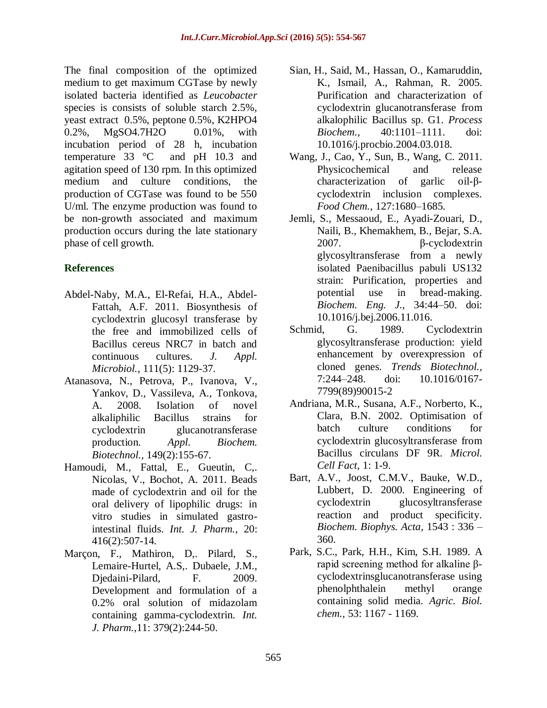The final composition of the optimized medium to get maximum CGTase by newly isolated bacteria identified as *Leucobacter* species is consists of soluble starch 2.5%, yeast extract 0.5%, peptone 0.5%, K2HPO4 0.2%, MgSO4.7H2O 0.01%, with incubation period of 28 h, incubation temperature 33 °C and pH 10.3 and agitation speed of 130 rpm. In this optimized medium and culture conditions, the production of CGTase was found to be 550 U/ml. The enzyme production was found to be non-growth associated and maximum production occurs during the late stationary phase of cell growth.

## **References**

- Abdel-Naby, M.A., El-Refai, H.A., Abdel-Fattah, A.F. 2011. Biosynthesis of cyclodextrin glucosyl transferase by the free and immobilized cells of Bacillus cereus NRC7 in batch and continuous cultures. *J. Appl. Microbiol.,* 111(5): 1129-37.
- Atanasova, N., Petrova, P., Ivanova, V., Yankov, D., Vassileva, A., Tonkova, A. 2008. Isolation of novel alkaliphilic Bacillus strains for cyclodextrin glucanotransferase production. *Appl. Biochem. Biotechnol.,* 149(2):155-67.
- Hamoudi, M., Fattal, E., Gueutin, C,. Nicolas, V., Bochot, A. 2011. Beads made of cyclodextrin and oil for the oral delivery of lipophilic drugs: in vitro studies in simulated gastrointestinal fluids. *Int. J. Pharm.,* 20: 416(2):507-14.
- Marçon, F., Mathiron, D,. Pilard, S., Lemaire-Hurtel, A.S,. Dubaele, J.M., Djedaini-Pilard, F. 2009. Development and formulation of a 0.2% oral solution of midazolam containing gamma-cyclodextrin. *Int. J. Pharm.,*11: 379(2):244-50.
- Sian, H., Said, M., Hassan, O., Kamaruddin, K., Ismail, A., Rahman, R. 2005. Purification and characterization of cyclodextrin glucanotransferase from alkalophilic Bacillus sp. G1. *Process Biochem.,* 40:1101–1111. doi: 10.1016/j.procbio.2004.03.018.
- Wang, J., Cao, Y., Sun, B., Wang, C. 2011. Physicochemical and release characterization of garlic oil-βcyclodextrin inclusion complexes. *Food Chem.,* 127:1680–1685.
- Jemli, S., Messaoud, E., Ayadi-Zouari, D., Naili, B., Khemakhem, B., Bejar, S.A. 2007. β-cyclodextrin glycosyltransferase from a newly isolated Paenibacillus pabuli US132 strain: Purification, properties and potential use in bread-making. *Biochem. Eng. J.,* 34:44–50. doi: 10.1016/j.bej.2006.11.016.
- Schmid, G. 1989. Cyclodextrin glycosyltransferase production: yield enhancement by overexpression of cloned genes. *Trends Biotechnol.,*  7:244–248. doi: 10.1016/0167- 7799(89)90015-2
- Andriana, M.R., Susana, A.F., Norberto, K., Clara, B.N. 2002. Optimisation of batch culture conditions for cyclodextrin glucosyltransferase from Bacillus circulans DF 9R. *Microl. Cell Fact,* 1: 1-9.
- Bart, A.V., Joost, C.M.V., Bauke, W.D., Lubbert, D. 2000. Engineering of cyclodextrin glucosyltransferase reaction and product specificity. *Biochem. Biophys. Acta,* 1543 : 336 – 360.
- Park, S.C., Park, H.H., Kim, S.H. 1989. A rapid screening method for alkaline βcyclodextrinsglucanotransferase using phenolphthalein methyl orange containing solid media. *Agric. Biol. chem.,* 53: 1167 - 1169.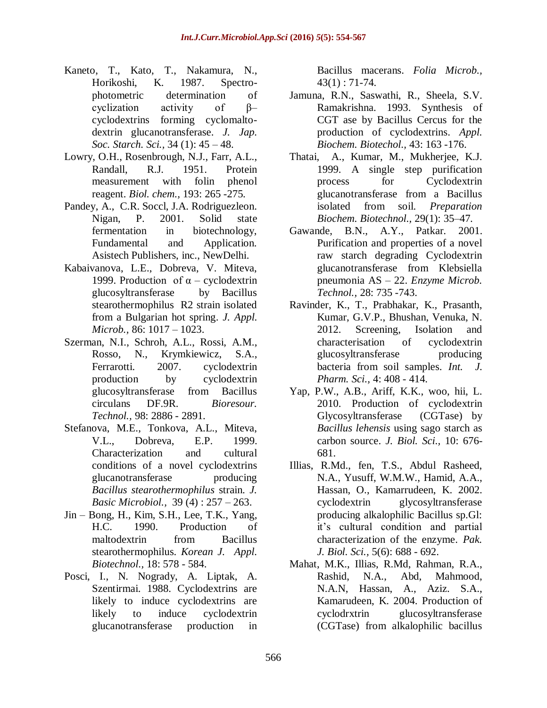- Kaneto, T., Kato, T., Nakamura, N., Horikoshi, K. 1987. Spectrophotometric determination of cyclization activity of β– cyclodextrins forming cyclomaltodextrin glucanotransferase. *J. Jap. Soc. Starch. Sci.,* 34 (1): 45 – 48.
- Lowry, O.H., Rosenbrough, N.J., Farr, A.L., Randall, R.J. 1951. Protein measurement with folin phenol reagent. *Biol. chem.,* 193: 265 -275.
- Pandey, A., C.R. Soccl, J.A. Rodriguezleon. Nigan, P. 2001. Solid state fermentation in biotechnology, Fundamental and Application. Asistech Publishers, inc., NewDelhi.
- Kabaivanova, L.E., Dobreva, V. Miteva, 1999. Production of  $\alpha$  – cyclodextrin glucosyltransferase by Bacillus stearothermophilus R2 strain isolated from a Bulgarian hot spring. *J. Appl. Microb.,* 86: 1017 – 1023.
- Szerman, N.I., Schroh, A.L., Rossi, A.M., Rosso, N., Krymkiewicz, S.A., Ferrarotti. 2007. cyclodextrin production by cyclodextrin glucosyltransferase from Bacillus circulans DF.9R. *Bioresour. Technol.,* 98: 2886 - 2891.
- Stefanova, M.E., Tonkova, A.L., Miteva, V.L., Dobreva, E.P. 1999. Characterization and cultural conditions of a novel cyclodextrins glucanotransferase producing *Bacillus stearothermophilus* strain. *J. Basic Microbiol.,* 39 (4) : 257 – 263.
- Jin Bong, H., Kim, S.H., Lee, T.K., Yang, H.C. 1990. Production of maltodextrin from Bacillus stearothermophilus. *Korean J. Appl. Biotechnol.,* 18: 578 - 584.
- Posci, I., N. Nogrady, A. Liptak, A. Szentirmai. 1988. Cyclodextrins are likely to induce cyclodextrins are likely to induce cyclodextrin glucanotransferase production in

Bacillus macerans. *Folia Microb.,*   $43(1): 71-74.$ 

- Jamuna, R.N., Saswathi, R., Sheela, S.V. Ramakrishna. 1993. Synthesis of CGT ase by Bacillus Cercus for the production of cyclodextrins. *Appl. Biochem. Biotechol.,* 43: 163 -176.
- Thatai, A., Kumar, M., Mukherjee, K.J. 1999. A single step purification process for Cyclodextrin glucanotransferase from a Bacillus isolated from soil. *Preparation Biochem. Biotechnol.,* 29(1): 35–47.
- Gawande, B.N., A.Y., Patkar. 2001. Purification and properties of a novel raw starch degrading Cyclodextrin glucanotransferase from Klebsiella pneumonia AS – 22. *Enzyme Microb. Technol.,* 28: 735 -743.
- Ravinder, K., T., Prabhakar, K., Prasanth, Kumar, G.V.P., Bhushan, Venuka, N. 2012. Screening, Isolation and characterisation of cyclodextrin glucosyltransferase producing bacteria from soil samples. *Int. J. Pharm. Sci.,* 4: 408 - 414.
- Yap, P.W., A.B., Ariff, K.K., woo, hii, L. 2010. Production of cyclodextrin Glycosyltransferase (CGTase) by *Bacillus lehensis* using sago starch as carbon source. *J. Biol. Sci.,* 10: 676- 681.
- Illias, R.Md., fen, T.S., Abdul Rasheed, N.A., Yusuff, W.M.W., Hamid, A.A., Hassan, O., Kamarrudeen, K. 2002. cyclodextrin glycosyltransferase producing alkalophilic Bacillus sp.Gl: it's cultural condition and partial characterization of the enzyme. *Pak. J. Biol. Sci.,* 5(6): 688 - 692.
- Mahat, M.K., Illias, R.Md, Rahman, R.A., Rashid, N.A., Abd, Mahmood, N.A.N, Hassan, A., Aziz. S.A., Kamarudeen, K. 2004. Production of cyclodrxtrin glucosyltransferase (CGTase) from alkalophilic bacillus